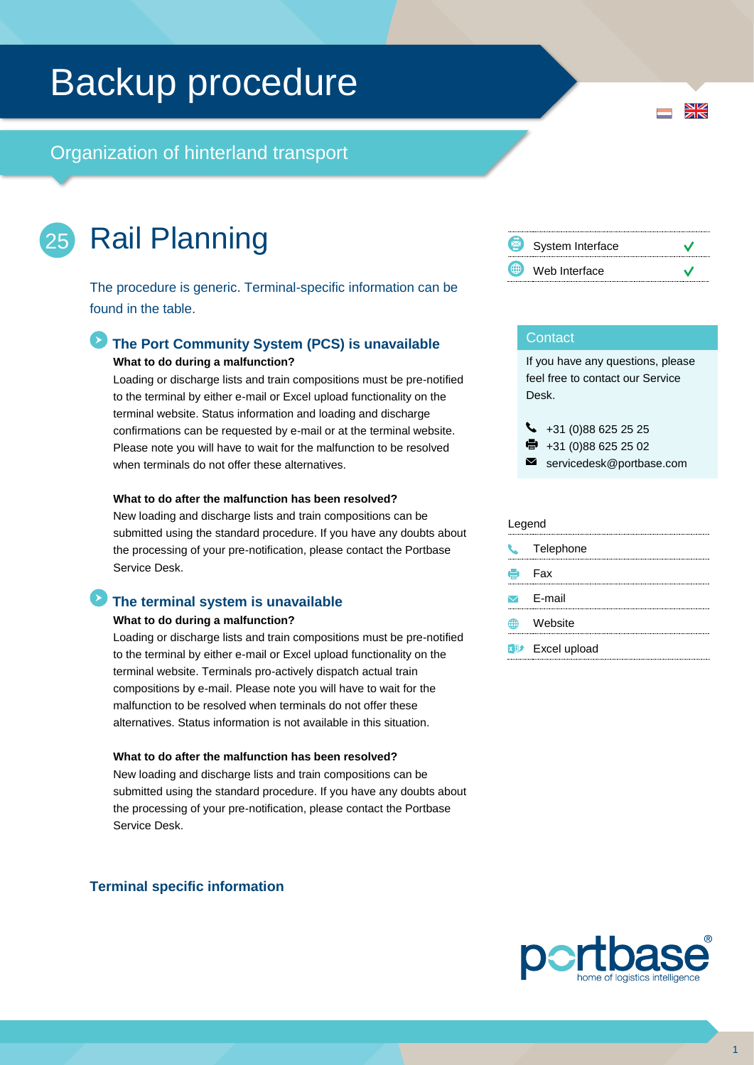# Backup procedure

Organization of hinterland transport

### Rail Planning 25

The procedure is generic. Terminal-specific information can be found in the table.

### **The Port Community System (PCS) is unavailable What to do during a malfunction?**

Loading or discharge lists and train compositions must be pre-notified to the terminal by either e-mail or Excel upload functionality on the terminal website. Status information and loading and discharge confirmations can be requested by e-mail or at the terminal website. Please note you will have to wait for the malfunction to be resolved when terminals do not offer these alternatives.

#### **What to do after the malfunction has been resolved?**

New loading and discharge lists and train compositions can be submitted using the standard procedure. If you have any doubts about the processing of your pre-notification, please contact the Portbase Service Desk.

### **The terminal system is unavailable**

#### **What to do during a malfunction?**

Loading or discharge lists and train compositions must be pre-notified to the terminal by either e-mail or Excel upload functionality on the terminal website. Terminals pro-actively dispatch actual train compositions by e-mail. Please note you will have to wait for the malfunction to be resolved when terminals do not offer these alternatives. Status information is not available in this situation.

### **What to do after the malfunction has been resolved?**

New loading and discharge lists and train compositions can be submitted using the standard procedure. If you have any doubts about the processing of your pre-notification, please contact the Portbase Service Desk.

### **Terminal specific information**



### **Contact**

If you have any questions, please feel free to contact our Service Desk.

 $\bigcup$  +31 (0)88 625 25 25

- +31 (0)88 625 25 02
- $\blacksquare$ servicedesk@portbase.com

#### Legend

| J. | Telephone                          |
|----|------------------------------------|
| е  | Fax                                |
|    | $\triangleright$ F-mail            |
|    | Website                            |
|    | <b>x</b> <sup>#</sup> Excel upload |



 $\frac{N}{Z}$